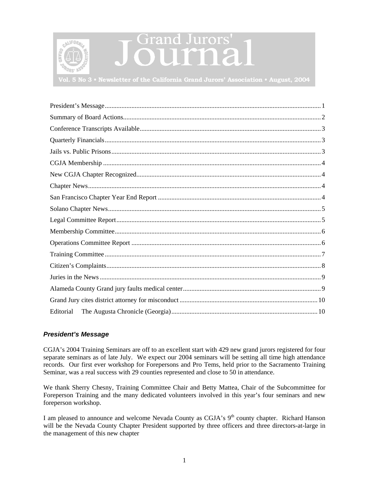<span id="page-0-0"></span>

# Grand Jurors'

**Vol. 5 No 3 • Newsletter of the California Grand Jurors' Association • August, 2004**

| Editorial |
|-----------|

# *President's Message*

CGJA's 2004 Training Seminars are off to an excellent start with 429 new grand jurors registered for four separate seminars as of late July. We expect our 2004 seminars will be setting all time high attendance records. Our first ever workshop for Forepersons and Pro Tems, held prior to the Sacramento Training Seminar, was a real success with 29 counties represented and close to 50 in attendance.

We thank Sherry Chesny, Training Committee Chair and Betty Mattea, Chair of the Subcommittee for Foreperson Training and the many dedicated volunteers involved in this year's four seminars and new foreperson workshop.

I am pleased to announce and welcome Nevada County as CGJA's 9<sup>th</sup> county chapter. Richard Hanson will be the Nevada County Chapter President supported by three officers and three directors-at-large in the management of this new chapter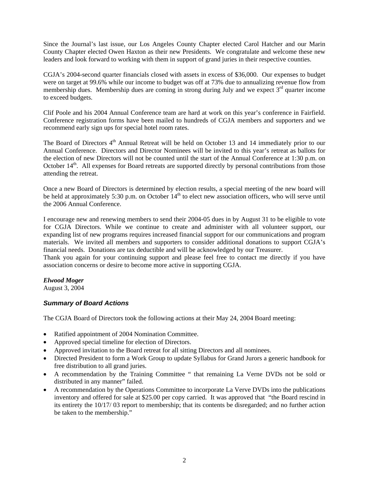<span id="page-1-0"></span>Since the Journal's last issue, our Los Angeles County Chapter elected Carol Hatcher and our Marin County Chapter elected Owen Haxton as their new Presidents. We congratulate and welcome these new leaders and look forward to working with them in support of grand juries in their respective counties.

CGJA's 2004-second quarter financials closed with assets in excess of \$36,000. Our expenses to budget were on target at 99.6% while our income to budget was off at 73% due to annualizing revenue flow from membership dues. Membership dues are coming in strong during July and we expect  $3<sup>rd</sup>$  quarter income to exceed budgets.

Clif Poole and his 2004 Annual Conference team are hard at work on this year's conference in Fairfield. Conference registration forms have been mailed to hundreds of CGJA members and supporters and we recommend early sign ups for special hotel room rates.

The Board of Directors 4<sup>th</sup> Annual Retreat will be held on October 13 and 14 immediately prior to our Annual Conference. Directors and Director Nominees will be invited to this year's retreat as ballots for the election of new Directors will not be counted until the start of the Annual Conference at 1:30 p.m. on October 14<sup>th</sup>. All expenses for Board retreats are supported directly by personal contributions from those attending the retreat.

Once a new Board of Directors is determined by election results, a special meeting of the new board will be held at approximately 5:30 p.m. on October  $14<sup>th</sup>$  to elect new association officers, who will serve until the 2006 Annual Conference.

I encourage new and renewing members to send their 2004-05 dues in by August 31 to be eligible to vote for CGJA Directors. While we continue to create and administer with all volunteer support, our expanding list of new programs requires increased financial support for our communications and program materials. We invited all members and supporters to consider additional donations to support CGJA's financial needs. Donations are tax deductible and will be acknowledged by our Treasurer.

Thank you again for your continuing support and please feel free to contact me directly if you have association concerns or desire to become more active in supporting CGJA.

### *Elwood Moger*

August 3, 2004

# *Summary of Board Actions*

The CGJA Board of Directors took the following actions at their May 24, 2004 Board meeting:

- Ratified appointment of 2004 Nomination Committee.
- Approved special timeline for election of Directors.
- Approved invitation to the Board retreat for all sitting Directors and all nominees.
- Directed President to form a Work Group to update Syllabus for Grand Jurors a generic handbook for free distribution to all grand juries.
- A recommendation by the Training Committee " that remaining La Verne DVDs not be sold or distributed in any manner" failed.
- A recommendation by the Operations Committee to incorporate La Verve DVDs into the publications inventory and offered for sale at \$25.00 per copy carried. It was approved that "the Board rescind in its entirety the 10/17/ 03 report to membership; that its contents be disregarded; and no further action be taken to the membership."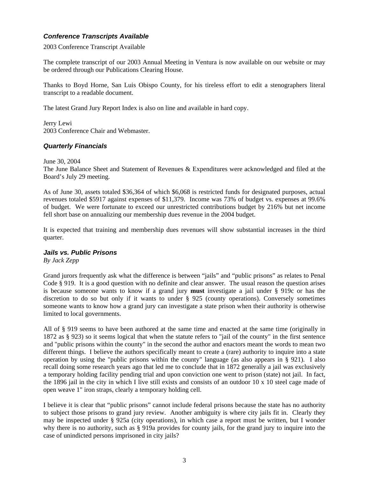# <span id="page-2-0"></span>*Conference Transcripts Available*

2003 Conference Transcript Available

The complete transcript of our 2003 Annual Meeting in Ventura is now available on our website or may be ordered through our Publications Clearing House.

Thanks to Boyd Horne, San Luis Obispo County, for his tireless effort to edit a stenographers literal transcript to a readable document.

The latest Grand Jury Report Index is also on line and available in hard copy.

Jerry Lewi 2003 Conference Chair and Webmaster.

# *Quarterly Financials*

June 30, 2004

The June Balance Sheet and Statement of Revenues & Expenditures were acknowledged and filed at the Board's July 29 meeting.

As of June 30, assets totaled \$36,364 of which \$6,068 is restricted funds for designated purposes, actual revenues totaled \$5917 against expenses of \$11,379. Income was 73% of budget vs. expenses at 99.6% of budget. We were fortunate to exceed our unrestricted contributions budget by 216% but net income fell short base on annualizing our membership dues revenue in the 2004 budget.

It is expected that training and membership dues revenues will show substantial increases in the third quarter.

### *Jails vs. Public Prisons*

*By Jack Zepp* 

Grand jurors frequently ask what the difference is between "jails" and "public prisons" as relates to Penal Code § 919. It is a good question with no definite and clear answer. The usual reason the question arises is because someone wants to know if a grand jury **must** investigate a jail under § 919c or has the discretion to do so but only if it wants to under § 925 (county operations). Conversely sometimes someone wants to know how a grand jury can investigate a state prison when their authority is otherwise limited to local governments.

All of § 919 seems to have been authored at the same time and enacted at the same time (originally in 1872 as § 923) so it seems logical that when the statute refers to "jail of the county" in the first sentence and "public prisons within the county" in the second the author and enactors meant the words to mean two different things. I believe the authors specifically meant to create a (rare) authority to inquire into a state operation by using the "public prisons within the county" language (as also appears in § 921). I also recall doing some research years ago that led me to conclude that in 1872 generally a jail was exclusively a temporary holding facility pending trial and upon conviction one went to prison (state) not jail. In fact, the 1896 jail in the city in which I live still exists and consists of an outdoor 10 x 10 steel cage made of open weave 1" iron straps, clearly a temporary holding cell.

I believe it is clear that "public prisons" cannot include federal prisons because the state has no authority to subject those prisons to grand jury review. Another ambiguity is where city jails fit in. Clearly they may be inspected under § 925a (city operations), in which case a report must be written, but I wonder why there is no authority, such as § 919a provides for county jails, for the grand jury to inquire into the case of unindicted persons imprisoned in city jails?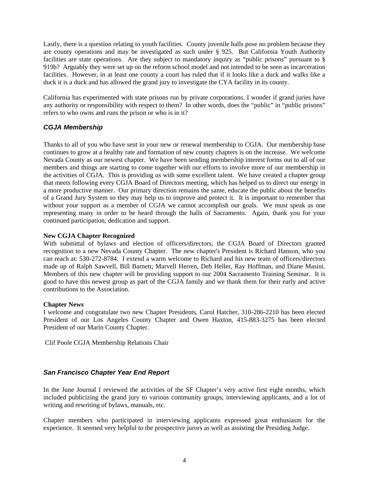<span id="page-3-0"></span>Lastly, there is a question relating to youth facilities. County juvenile halls pose no problem because they are county operations and may be investigated as such under § 925. But California Youth Authority facilities are state operations. Are they subject to mandatory inquiry as "public prisons" pursuant to § 919b? Arguably they were set up on the reform school model and not intended to be seen as incarceration facilities. However, in at least one county a court has ruled that if it looks like a duck and walks like a duck it is a duck and has allowed the grand jury to investigate the CYA facility in its county.

California has experimented with state prisons run by private corporations. I wonder if grand juries have any authority or responsibility with respect to them? In other words, does the "public" in "public prisons" refers to who owns and runs the prison or who is in it?

# *CGJA Membership*

Thanks to all of you who have sent in your new or renewal membership to CGJA. Our membership base continues to grow at a healthy rate and formation of new county chapters is on the increase. We welcome Nevada County as our newest chapter. We have been sending membership interest forms out to all of our members and things are starting to come together with our efforts to involve more of our membership in the activities of CGJA. This is providing us with some excellent talent. We have created a chapter group that meets following every CGJA Board of Directors meeting, which has helped us to direct our energy in a more productive manner. Our primary direction remains the same, educate the public about the benefits of a Grand Jury System so they may help us to improve and protect it. It is important to remember that without your support as a member of CGJA we cannot accomplish our goals. We must speak as one representing many in order to be heard through the halls of Sacramento. Again, thank you for your continued participation, dedication and support.

## **New CGJA Chapter Recognized**

With submittal of bylaws and election of officers/directors, the CGJA Board of Directors granted recognition to a new Nevada County Chapter. The new chapter's President is Richard Hanson, who you can reach at: 530-272-8784. I extend a warm welcome to Richard and his new team of officers/directors made up of Ralph Sawvell, Bill Barnett, Marvell Herren, Deb Heller, Ray Hoffman, and Diane Masini. Members of this new chapter will be providing support to our 2004 Sacramento Training Seminar. It is good to have this newest group as part of the CGJA family and we thank them for their early and active contributions to the Association.

### **Chapter News**

I welcome and congratulate two new Chapter Presidents, Carol Hatcher, 310-286-2210 has been elected President of our Los Angeles County Chapter and Owen Haxton, 415-883-3275 has been elected President of our Marin County Chapter.

Clif Poole CGJA Membership Relations Chair

# *San Francisco Chapter Year End Report*

In the June Journal I reviewed the activities of the SF Chapter's very active first eight months, which included publicizing the grand jury to various community groups, interviewing applicants, and a lot of writing and rewriting of bylaws, manuals, etc.

Chapter members who participated in interviewing applicants expressed great enthusiasm for the experience. It seemed very helpful to the prospective jurors as well as assisting the Presiding Judge.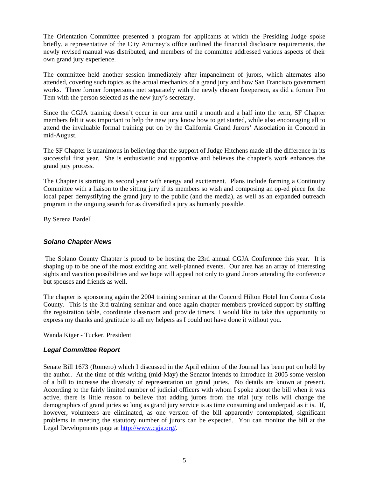<span id="page-4-0"></span>The Orientation Committee presented a program for applicants at which the Presiding Judge spoke briefly, a representative of the City Attorney's office outlined the financial disclosure requirements, the newly revised manual was distributed, and members of the committee addressed various aspects of their own grand jury experience.

The committee held another session immediately after impanelment of jurors, which alternates also attended, covering such topics as the actual mechanics of a grand jury and how San Francisco government works. Three former forepersons met separately with the newly chosen foreperson, as did a former Pro Tem with the person selected as the new jury's secretary.

Since the CGJA training doesn't occur in our area until a month and a half into the term, SF Chapter members felt it was important to help the new jury know how to get started, while also encouraging all to attend the invaluable formal training put on by the California Grand Jurors' Association in Concord in mid-August.

The SF Chapter is unanimous in believing that the support of Judge Hitchens made all the difference in its successful first year. She is enthusiastic and supportive and believes the chapter's work enhances the grand jury process.

The Chapter is starting its second year with energy and excitement. Plans include forming a Continuity Committee with a liaison to the sitting jury if its members so wish and composing an op-ed piece for the local paper demystifying the grand jury to the public (and the media), as well as an expanded outreach program in the ongoing search for as diversified a jury as humanly possible.

By Serena Bardell

# *Solano Chapter News*

 The Solano County Chapter is proud to be hosting the 23rd annual CGJA Conference this year. It is shaping up to be one of the most exciting and well-planned events. Our area has an array of interesting sights and vacation possibilities and we hope will appeal not only to grand Jurors attending the conference but spouses and friends as well.

The chapter is sponsoring again the 2004 training seminar at the Concord Hilton Hotel Inn Contra Costa County. This is the 3rd training seminar and once again chapter members provided support by staffing the registration table, coordinate classroom and provide timers. I would like to take this opportunity to express my thanks and gratitude to all my helpers as I could not have done it without you.

Wanda Kiger - Tucker, President

# *Legal Committee Report*

Senate Bill 1673 (Romero) which I discussed in the April edition of the Journal has been put on hold by the author. At the time of this writing (mid-May) the Senator intends to introduce in 2005 some version of a bill to increase the diversity of representation on grand juries. No details are known at present. According to the fairly limited number of judicial officers with whom I spoke about the bill when it was active, there is little reason to believe that adding jurors from the trial jury rolls will change the demographics of grand juries so long as grand jury service is as time consuming and underpaid as it is. If, however, volunteers are eliminated, as one version of the bill apparently contemplated, significant problems in meeting the statutory number of jurors can be expected. You can monitor the bill at the Legal Developments page at [http://www.cgja.org/.](http://www.cgja.org/)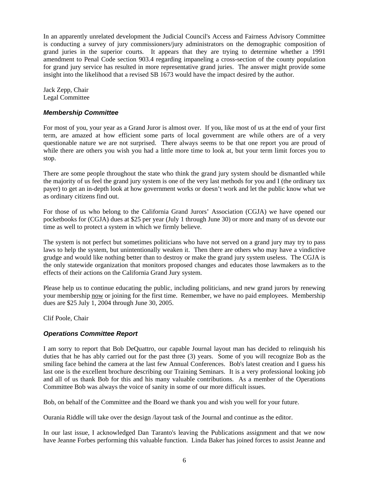<span id="page-5-0"></span>In an apparently unrelated development the Judicial Council's Access and Fairness Advisory Committee is conducting a survey of jury commissioners/jury administrators on the demographic composition of grand juries in the superior courts. It appears that they are trying to determine whether a 1991 amendment to Penal Code section 903.4 regarding impaneling a cross-section of the county population for grand jury service has resulted in more representative grand juries. The answer might provide some insight into the likelihood that a revised SB 1673 would have the impact desired by the author.

Jack Zepp, Chair Legal Committee

## *Membership Committee*

For most of you, your year as a Grand Juror is almost over. If you, like most of us at the end of your first term, are amazed at how efficient some parts of local government are while others are of a very questionable nature we are not surprised. There always seems to be that one report you are proud of while there are others you wish you had a little more time to look at, but your term limit forces you to stop.

There are some people throughout the state who think the grand jury system should be dismantled while the majority of us feel the grand jury system is one of the very last methods for you and I (the ordinary tax payer) to get an in-depth look at how government works or doesn't work and let the public know what we as ordinary citizens find out.

For those of us who belong to the California Grand Jurors' Association (CGJA) we have opened our pocketbooks for (CGJA) dues at \$25 per year (July 1 through June 30) or more and many of us devote our time as well to protect a system in which we firmly believe.

The system is not perfect but sometimes politicians who have not served on a grand jury may try to pass laws to help the system, but unintentionally weaken it. Then there are others who may have a vindictive grudge and would like nothing better than to destroy or make the grand jury system useless. The CGJA is the only statewide organization that monitors proposed changes and educates those lawmakers as to the effects of their actions on the California Grand Jury system.

Please help us to continue educating the public, including politicians, and new grand jurors by renewing your membership now or joining for the first time. Remember, we have no paid employees. Membership dues are \$25 July 1, 2004 through June 30, 2005.

Clif Poole, Chair

# *Operations Committee Report*

I am sorry to report that Bob DeQuattro, our capable Journal layout man has decided to relinquish his duties that he has ably carried out for the past three (3) years. Some of you will recognize Bob as the smiling face behind the camera at the last few Annual Conferences. Bob's latest creation and I guess his last one is the excellent brochure describing our Training Seminars. It is a very professional looking job and all of us thank Bob for this and his many valuable contributions. As a member of the Operations Committee Bob was always the voice of sanity in some of our more difficult issues.

Bob, on behalf of the Committee and the Board we thank you and wish you well for your future.

Ourania Riddle will take over the design /layout task of the Journal and continue as the editor.

In our last issue, I acknowledged Dan Taranto's leaving the Publications assignment and that we now have Jeanne Forbes performing this valuable function. Linda Baker has joined forces to assist Jeanne and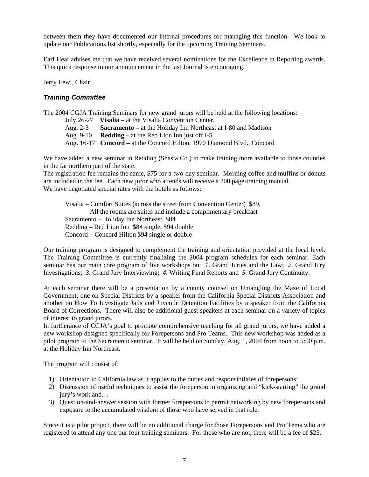<span id="page-6-0"></span>between them they have documented our internal procedures for managing this function. We look to update our Publications list shortly, especially for the upcoming Training Seminars.

Earl Heal advises me that we have received several nominations for the Excellence in Reporting awards. This quick response to our announcement in the last Journal is encouraging.

Jerry Lewi, Chair

# *Training Committee*

The 2004 CGJA Training Seminars for new grand jurors will be held at the following locations:

July 26-27 **Visalia –** at the Visalia Convention Center.

Aug. 2-3 **Sacramento –** at the Holiday Inn Northeast at I-80 and Madison

Aug. 9-10 **Redding –** at the Red Lion Inn just off I-5

Aug. 16-17 **Concord –** at the Concord Hilton, 1970 Diamond Blvd., Concord

We have added a new seminar in Redding (Shasta Co.) to make training more available to those counties in the far northern part of the state.

The registration fee remains the same, \$75 for a two-day seminar. Morning coffee and muffins or donuts are included in the fee. Each new juror who attends will receive a 200 page-training manual. We have negotiated special rates with the hotels as follows:

 Visalia – Comfort Suites (across the street from Convention Center) \$89. All the rooms are suites and include a complimentary breakfast Sacramento – Holiday Inn Northeast \$84 Redding – Red Lion Inn \$84 single, \$94 double Concord – Concord Hilton \$94 single or double

Our training program is designed to complement the training and orientation provided at the local level. The Training Committee is currently finalizing the 2004 program schedules for each seminar. Each seminar has our main core program of five workshops on: *1*. Grand Juries and the Law; *2.* Grand Jury Investigations; *3*. Grand Jury Interviewing; *4*. Writing Final Reports and *5.* Grand Jury Continuity.

At each seminar there will be a presentation by a county counsel on Untangling the Maze of Local Government; one on Special Districts by a speaker from the California Special Districts Association and another on How To Investigate Jails and Juvenile Detention Facilities by a speaker from the California Board of Corrections. There will also be additional guest speakers at each seminar on a variety of topics of interest to grand jurors.

In furtherance of CGJA's goal to promote comprehensive teaching for all grand jurors, we have added a new workshop designed specifically for Forepersons and Pro Teams. This new workshop was added as a pilot program to the Sacramento seminar. It will be held on Sunday, Aug. 1, 2004 from noon to 5:00 p.m. at the Holiday Inn Northeast.

The program will consist of:

- 1) Orientation to California law as it applies to the duties and responsibilities of forepersons;
- 2) Discussion of useful techniques to assist the foreperson in organizing and "kick-starting" the grand jury's work and…
- 3) Question-and-answer session with former forepersons to permit networking by new forepersons and exposure to the accumulated wisdom of those who have served in that role.

Since it is a pilot project, there will be no additional charge for those Forepersons and Pro Tems who are registered to attend any one our four training seminars. For those who are not, there will be a fee of \$25.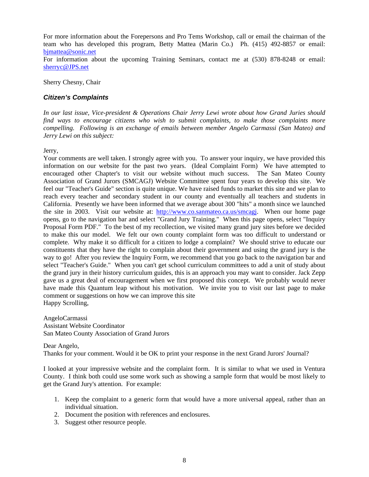<span id="page-7-0"></span>For more information about the Forepersons and Pro Tems Workshop, call or email the chairman of the team who has developed this program, Betty Mattea (Marin Co.) Ph. (415) 492-8857 or email: bimattea@sonic.net

For information about the upcoming Training Seminars, contact me at (530) 878-8248 or email: [sherryc@JPS.net](mailto:sherryc@JPS.net)

Sherry Chesny, Chair

# *Citizen's Complaints*

*In our last issue, Vice-president & Operations Chair Jerry Lewi wrote about how Grand Juries should find ways to encourage citizens who wish to submit complaints, to make those complaints more compelling. Following is an exchange of emails between member Angelo Carmassi (San Mateo) and Jerry Lewi on this subject:* 

Jerry,

Your comments are well taken. I strongly agree with you. To answer your inquiry, we have provided this information on our website for the past two years. (Ideal Complaint Form) We have attempted to encouraged other Chapter's to visit our website without much success. The San Mateo County Association of Grand Jurors (SMCAGJ) Website Committee spent four years to develop this site. We feel our "Teacher's Guide" section is quite unique. We have raised funds to market this site and we plan to reach every teacher and secondary student in our county and eventually all teachers and students in California. Presently we have been informed that we average about 300 "hits" a month since we launched the site in 2003. Visit our website at: <http://www.co.sanmateo.ca.us/smcagj>. When our home page opens, go to the navigation bar and select "Grand Jury Training." When this page opens, select "Inquiry Proposal Form PDF." To the best of my recollection, we visited many grand jury sites before we decided to make this our model. We felt our own county complaint form was too difficult to understand or complete. Why make it so difficult for a citizen to lodge a complaint? We should strive to educate our constituents that they have the right to complain about their government and using the grand jury is the way to go! After you review the Inquiry Form, we recommend that you go back to the navigation bar and select "Teacher's Guide." When you can't get school curriculum committees to add a unit of study about the grand jury in their history curriculum guides, this is an approach you may want to consider. Jack Zepp gave us a great deal of encouragement when we first proposed this concept. We probably would never have made this Quantum leap without his motivation. We invite you to visit our last page to make comment or suggestions on how we can improve this site Happy Scrolling,

AngeloCarmassi Assistant Website Coordinator San Mateo County Association of Grand Jurors

Dear Angelo, Thanks for your comment. Would it be OK to print your response in the next Grand Jurors' Journal?

I looked at your impressive website and the complaint form. It is similar to what we used in Ventura County. I think both could use some work such as showing a sample form that would be most likely to get the Grand Jury's attention. For example:

- 1. Keep the complaint to a generic form that would have a more universal appeal, rather than an individual situation.
- 2. Document the position with references and enclosures.
- 3. Suggest other resource people.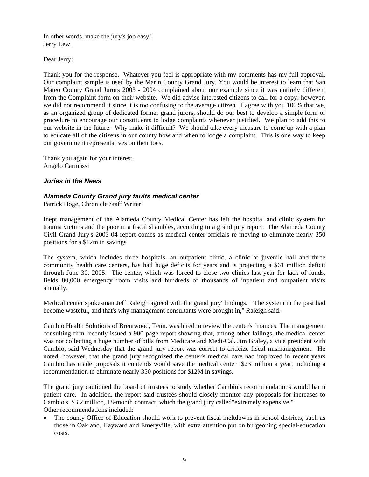<span id="page-8-0"></span>In other words, make the jury's job easy! Jerry Lewi

Dear Jerry:

Thank you for the response. Whatever you feel is appropriate with my comments has my full approval. Our complaint sample is used by the Marin County Grand Jury. You would be interest to learn that San Mateo County Grand Jurors 2003 - 2004 complained about our example since it was entirely different from the Complaint form on their website. We did advise interested citizens to call for a copy; however, we did not recommend it since it is too confusing to the average citizen. I agree with you 100% that we, as an organized group of dedicated former grand jurors, should do our best to develop a simple form or procedure to encourage our constituents to lodge complaints whenever justified. We plan to add this to our website in the future. Why make it difficult? We should take every measure to come up with a plan to educate all of the citizens in our county how and when to lodge a complaint. This is one way to keep our government representatives on their toes.

Thank you again for your interest. Angelo Carmassi

### *Juries in the News*

### *Alameda County Grand jury faults medical center*

Patrick Hoge, Chronicle Staff Writer

Inept management of the Alameda County Medical Center has left the hospital and clinic system for trauma victims and the poor in a fiscal shambles, according to a grand jury report. The Alameda County Civil Grand Jury's 2003-04 report comes as medical center officials re moving to eliminate nearly 350 positions for a \$12m in savings

The system, which includes three hospitals, an outpatient clinic, a clinic at juvenile hall and three community health care centers, has had huge deficits for years and is projecting a \$61 million deficit through June 30, 2005. The center, which was forced to close two clinics last year for lack of funds, fields 80,000 emergency room visits and hundreds of thousands of inpatient and outpatient visits annually.

Medical center spokesman Jeff Raleigh agreed with the grand jury' findings. "The system in the past had become wasteful, and that's why management consultants were brought in," Raleigh said.

Cambio Health Solutions of Brentwood, Tenn. was hired to review the center's finances. The management consulting firm recently issued a 900-page report showing that, among other failings, the medical center was not collecting a huge number of bills from Medicare and Medi-Cal. Jim Braley, a vice president with Cambio, said Wednesday that the grand jury report was correct to criticize fiscal mismanagement. He noted, however, that the grand jury recognized the center's medical care had improved in recent years Cambio has made proposals it contends would save the medical center \$23 million a year, including a recommendation to eliminate nearly 350 positions for \$12M in savings.

The grand jury cautioned the board of trustees to study whether Cambio's recommendations would harm patient care. In addition, the report said trustees should closely monitor any proposals for increases to Cambio's \$3.2 million, 18-month contract, which the grand jury called"extremely expensive." Other recommendations included:

The county Office of Education should work to prevent fiscal meltdowns in school districts, such as those in Oakland, Hayward and Emeryville, with extra attention put on burgeoning special-education costs.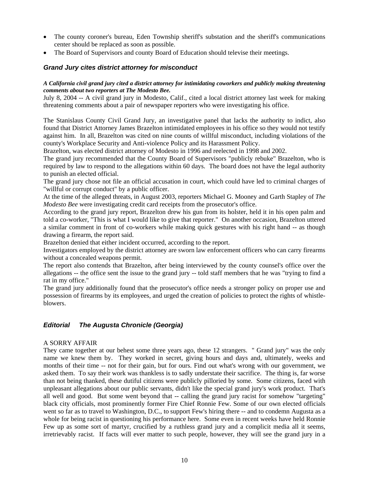- <span id="page-9-0"></span>• The county coroner's bureau, Eden Township sheriff's substation and the sheriff's communications center should be replaced as soon as possible.
- The Board of Supervisors and county Board of Education should televise their meetings.

## *Grand Jury cites district attorney for misconduct*

### *A California civil grand jury cited a district attorney for intimidating coworkers and publicly making threatening comments about two reporters at The Modesto Bee.*

July 8, 2004 -- A civil grand jury in Modesto, Calif., cited a local district attorney last week for making threatening comments about a pair of newspaper reporters who were investigating his office.

The Stanislaus County Civil Grand Jury, an investigative panel that lacks the authority to indict, also found that District Attorney James Brazelton intimidated employees in his office so they would not testify against him. In all, Brazelton was cited on nine counts of willful misconduct, including violations of the county's Workplace Security and Anti-violence Policy and its Harassment Policy.

Brazelton, was elected district attorney of Modesto in 1996 and reelected in 1998 and 2002.

The grand jury recommended that the County Board of Supervisors "publicly rebuke" Brazelton, who is required by law to respond to the allegations within 60 days. The board does not have the legal authority to punish an elected official.

The grand jury chose not file an official accusation in court, which could have led to criminal charges of "willful or corrupt conduct" by a public officer.

At the time of the alleged threats, in August 2003, reporters Michael G. Mooney and Garth Stapley of *The Modesto Bee* were investigating credit card receipts from the prosecutor's office.

According to the grand jury report, Brazelton drew his gun from its holster, held it in his open palm and told a co-worker, "This is what I would like to give that reporter." On another occasion, Brazelton uttered a similar comment in front of co-workers while making quick gestures with his right hand -- as though drawing a firearm, the report said.

Brazelton denied that either incident occurred, according to the report.

Investigators employed by the district attorney are sworn law enforcement officers who can carry firearms without a concealed weapons permit.

The report also contends that Brazelton, after being interviewed by the county counsel's office over the allegations -- the office sent the issue to the grand jury -- told staff members that he was "trying to find a rat in my office."

The grand jury additionally found that the prosecutor's office needs a stronger policy on proper use and possession of firearms by its employees, and urged the creation of policies to protect the rights of whistleblowers.

# *Editorial The Augusta Chronicle (Georgia)*

### A SORRY AFFAIR

They came together at our behest some three years ago, these 12 strangers. " Grand jury" was the only name we knew them by. They worked in secret, giving hours and days and, ultimately, weeks and months of their time -- not for their gain, but for ours. Find out what's wrong with our government, we asked them. To say their work was thankless is to sadly understate their sacrifice. The thing is, far worse than not being thanked, these dutiful citizens were publicly pilloried by some. Some citizens, faced with unpleasant allegations about our public servants, didn't like the special grand jury's work product. That's all well and good. But some went beyond that -- calling the grand jury racist for somehow "targeting" black city officials, most prominently former Fire Chief Ronnie Few. Some of our own elected officials went so far as to travel to Washington, D.C., to support Few's hiring there -- and to condemn Augusta as a whole for being racist in questioning his performance here. Some even in recent weeks have held Ronnie Few up as some sort of martyr, crucified by a ruthless grand jury and a complicit media all it seems, irretrievably racist. If facts will ever matter to such people, however, they will see the grand jury in a